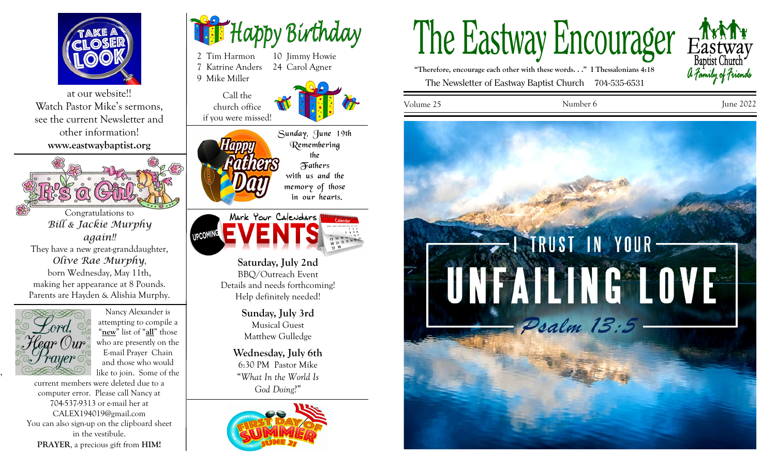

at our website!! Watch Pastor Mike's sermons, see the current Newsletter and other information! **www.eastwaybaptist.org**



Congratulations to *Bill & Jackie Murphy again!!* They have a new great-granddaughter, *Olive Rae Murphy*, born Wednesday, May 11th, making her appearance at 8 Pounds. Parents are Hayden & Alishia Murphy.



.<br>,

Nancy Alexander is attempting to compile a "**new**" list of "**all**" those who are presently on the E-mail Prayer Chain and those who would like to join. Some of the

current members were deleted due to a computer error. Please call Nancy at 704-537-9313 or e-mail her at CALEX194019@gmail.com You can also sign-up on the clipboard sheet in the vestibule. **PRAYER**, a precious gift from **HIM!**





**Saturday, July 2nd** BBQ/Outreach Event Details and needs forthcoming! Help definitely needed!

> **Sunday, July 3rd** Musical Guest Matthew Gulledge

**Wednesday, July 6th** 6:30 PM Pastor Mike "*What In the World Is God Doing*?"





**"Therefore, encourage each other with these words. . ." I Thessalonians 4:18** The Newsletter of Eastway Baptist Church 704-535-6531

Volume 25 June 2022

Number 6

TRUST IN YOUR-

**UNFATETNG LOVE** 

Psalm 13:5-

a *family of friends*